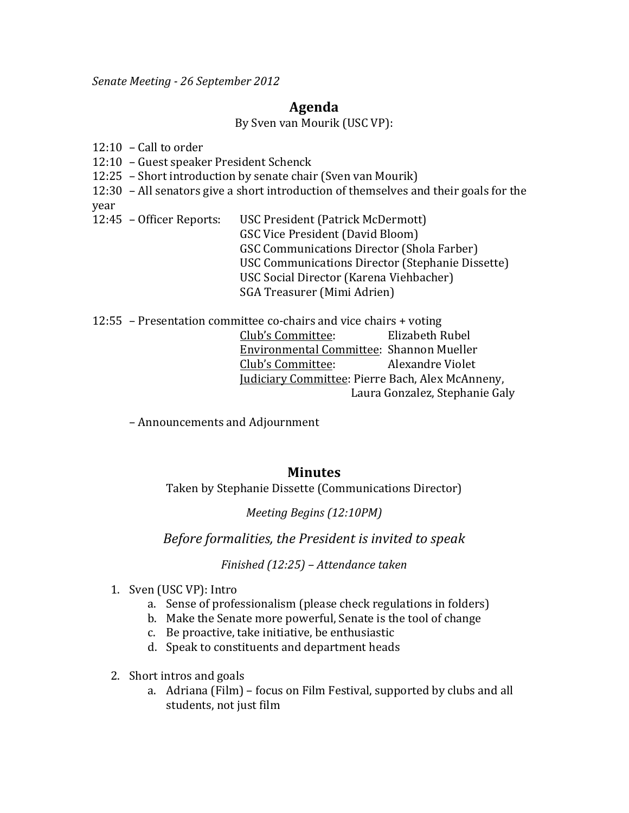*Senate&Meeting \* 26 September 2012*

## **Agenda**

By Sven van Mourik (USC VP):

 $12:10$  – Call to order

- 12:10 Guest speaker President Schenck
- 12:25 Short introduction by senate chair (Sven van Mourik)
- 12:30 All senators give a short introduction of themselves and their goals for the year
- 12:45 Officer Reports: USC President (Patrick McDermott) GSC Vice President (David Bloom) GSC Communications Director (Shola Farber) USC Communications Director (Stephanie Dissette) USC Social Director (Karena Viehbacher) SGA Treasurer (Mimi Adrien)
- 12:55 Presentation committee co-chairs and vice chairs + voting Club's Committee: Elizabeth Rubel Environmental Committee: Shannon Mueller Club's Committee: Alexandre Violet Judiciary Committee: Pierre Bach, Alex McAnneny, Laura Gonzalez, Stephanie Galy
	- Announcements and Adjournment

## **Minutes**

Taken by Stephanie Dissette (Communications Director)

*Meeting Begins (12:10PM)* 

*Before&formalities,&the&President&is&invited&to&speak*

## *Finished (12:25)* – *Attendance taken*

- 1. Sven (USC VP): Intro
	- a. Sense of professionalism (please check regulations in folders)
	- b. Make the Senate more powerful, Senate is the tool of change
	- c. Be proactive, take initiative, be enthusiastic
	- d. Speak to constituents and department heads
- 2. Short intros and goals
	- a. Adriana (Film) focus on Film Festival, supported by clubs and all students, not just film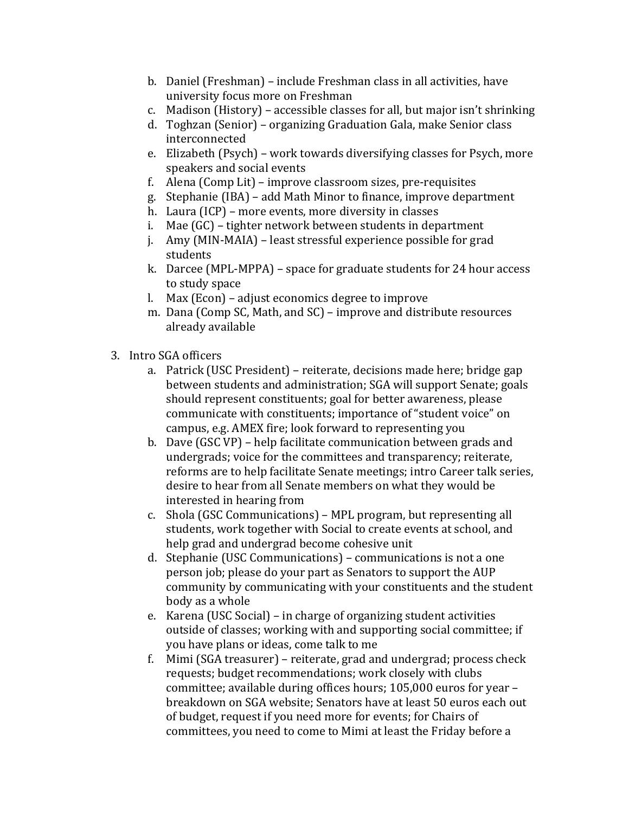- b. Daniel (Freshman) include Freshman class in all activities, have university focus more on Freshman
- c. Madison (History) accessible classes for all, but major isn't shrinking
- d. Toghzan (Senior) organizing Graduation Gala, make Senior class interconnected
- e. Elizabeth (Psych) work towards diversifying classes for Psych, more speakers and social events
- f. Alena (Comp Lit) improve classroom sizes, pre-requisites
- g. Stephanie (IBA) add Math Minor to finance, improve department
- h. Laura (ICP) more events, more diversity in classes
- i. Mae  $(GC)$  tighter network between students in department
- j. Amy (MIN-MAIA) least stressful experience possible for grad students
- k. Darcee (MPL-MPPA) space for graduate students for 24 hour access to study space
- l. Max (Econ) adjust economics degree to improve
- m. Dana (Comp SC, Math, and SC) improve and distribute resources already available
- 3. Intro SGA officers
	- a. Patrick (USC President) reiterate, decisions made here; bridge gap between students and administration; SGA will support Senate; goals should represent constituents; goal for better awareness, please communicate with constituents; importance of "student voice" on campus, e.g. AMEX fire; look forward to representing you
	- b. Dave (GSC VP) help facilitate communication between grads and undergrads; voice for the committees and transparency; reiterate, reforms are to help facilitate Senate meetings; intro Career talk series, desire to hear from all Senate members on what they would be interested in hearing from
	- c. Shola (GSC Communications) MPL program, but representing all students, work together with Social to create events at school, and help grad and undergrad become cohesive unit
	- d. Stephanie (USC Communications) communications is not a one person job; please do your part as Senators to support the AUP community by communicating with your constituents and the student body as a whole
	- e. Karena (USC Social) in charge of organizing student activities outside of classes; working with and supporting social committee; if you have plans or ideas, come talk to me
	- f. Mimi (SGA treasurer) reiterate, grad and undergrad; process check requests; budget recommendations; work closely with clubs committee; available during offices hours; 105,000 euros for year – breakdown on SGA website; Senators have at least 50 euros each out of budget, request if you need more for events; for Chairs of committees, you need to come to Mimi at least the Friday before a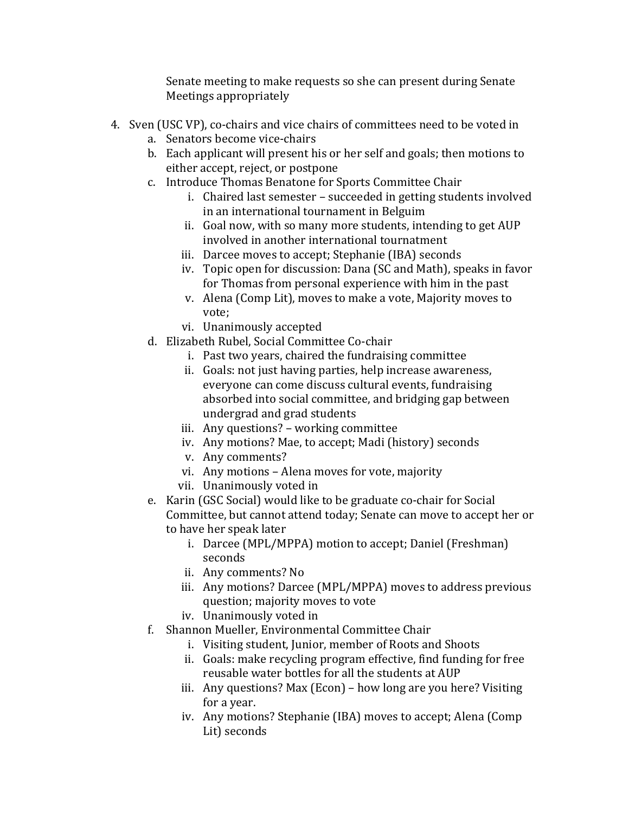Senate meeting to make requests so she can present during Senate Meetings appropriately

- 4. Sven (USC VP), co-chairs and vice chairs of committees need to be voted in
	- a. Senators become vice-chairs
	- b. Each applicant will present his or her self and goals; then motions to either accept, reject, or postpone
	- c. Introduce Thomas Benatone for Sports Committee Chair
		- i. Chaired last semester succeeded in getting students involved in an international tournament in Belguim
		- ii. Goal now, with so many more students, intending to get AUP involved in another international tournatment
		- iii. Darcee moves to accept; Stephanie (IBA) seconds
		- iv. Topic open for discussion: Dana (SC and Math), speaks in favor for Thomas from personal experience with him in the past
		- v. Alena (Comp Lit), moves to make a vote, Majority moves to vote:
		- vi. Unanimously!accepted
	- d. Elizabeth Rubel, Social Committee Co-chair
		- i. Past two years, chaired the fundraising committee
		- ii. Goals: not just having parties, help increase awareness, everyone can come discuss cultural events, fundraising absorbed into social committee, and bridging gap between undergrad and grad students
		- iii. Any questions? working committee
		- iv. Any motions? Mae, to accept; Madi (history) seconds
		- v. Any comments?
		- vi. Any motions Alena moves for vote, majority
		- vii. Unanimously voted in
	- e. Karin (GSC Social) would like to be graduate co-chair for Social Committee, but cannot attend today; Senate can move to accept her or to have her speak later
		- i. Darcee (MPL/MPPA) motion to accept; Daniel (Freshman) seconds
		- ii. Any comments? No
		- iii. Any motions? Darcee (MPL/MPPA) moves to address previous question; majority moves to vote
		- iv. Unanimously voted in
	- f. Shannon Mueller, Environmental Committee Chair
		- i. Visiting student, Junior, member of Roots and Shoots
		- ii. Goals: make recycling program effective, find funding for free reusable water bottles for all the students at AUP
		- iii. Any questions? Max (Econ) how long are you here? Visiting for a year.
		- iv. Any motions? Stephanie (IBA) moves to accept; Alena (Comp Lit) seconds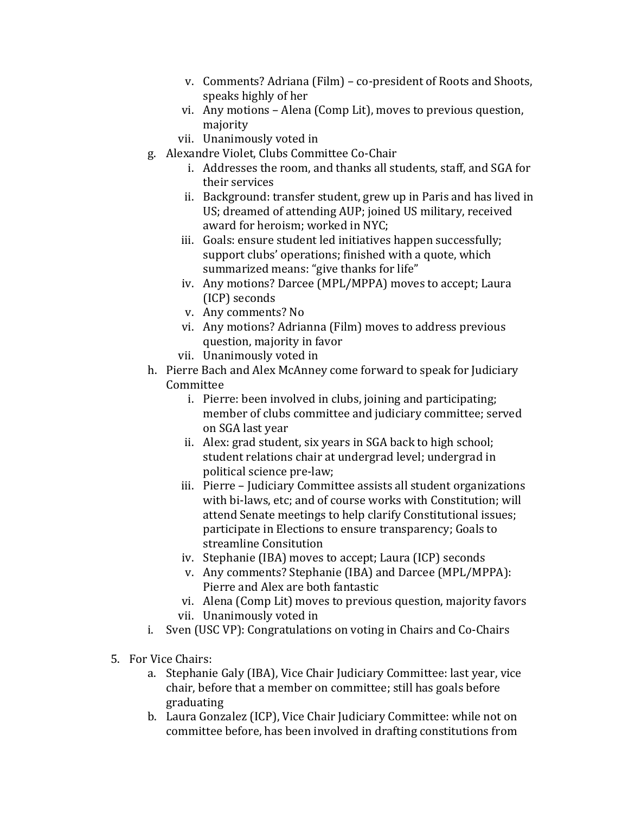- v. Comments? Adriana (Film) co-president of Roots and Shoots, speaks highly of her
- vi. Any motions Alena (Comp Lit), moves to previous question, majority
- vii. Unanimously voted in
- g. Alexandre Violet, Clubs Committee Co-Chair
	- i. Addresses the room, and thanks all students, staff, and SGA for their services
	- ii. Background: transfer student, grew up in Paris and has lived in US; dreamed of attending AUP; joined US military, received award for heroism; worked in NYC;
	- iii. Goals: ensure student led initiatives happen successfully; support clubs' operations; finished with a quote, which summarized means: "give thanks for life"
	- iv. Any motions? Darcee (MPL/MPPA) moves to accept; Laura (ICP) seconds
	- v. Any comments? No
	- vi. Any motions? Adrianna (Film) moves to address previous question, majority in favor
	- vii. Unanimously voted in
- h. Pierre Bach and Alex McAnney come forward to speak for Judiciary Committee
	- i. Pierre: been involved in clubs, joining and participating; member of clubs committee and judiciary committee; served on SGA last year
	- ii. Alex: grad student, six years in SGA back to high school; student relations chair at undergrad level; undergrad in political science pre-law;
	- iii. Pierre Judiciary Committee assists all student organizations with bi-laws, etc; and of course works with Constitution; will attend Senate meetings to help clarify Constitutional issues: participate in Elections to ensure transparency; Goals to streamline Consitution
	- iv. Stephanie (IBA) moves to accept; Laura (ICP) seconds
	- v. Any comments? Stephanie (IBA) and Darcee (MPL/MPPA): Pierre and Alex are both fantastic
	- vi. Alena (Comp Lit) moves to previous question, majority favors vii. Unanimously voted in
- i. Sven (USC VP): Congratulations on voting in Chairs and Co-Chairs
- 5. For Vice Chairs:
	- a. Stephanie Galy (IBA), Vice Chair Judiciary Committee: last year, vice chair, before that a member on committee; still has goals before graduating
	- b. Laura Gonzalez (ICP), Vice Chair Judiciary Committee: while not on committee before, has been involved in drafting constitutions from